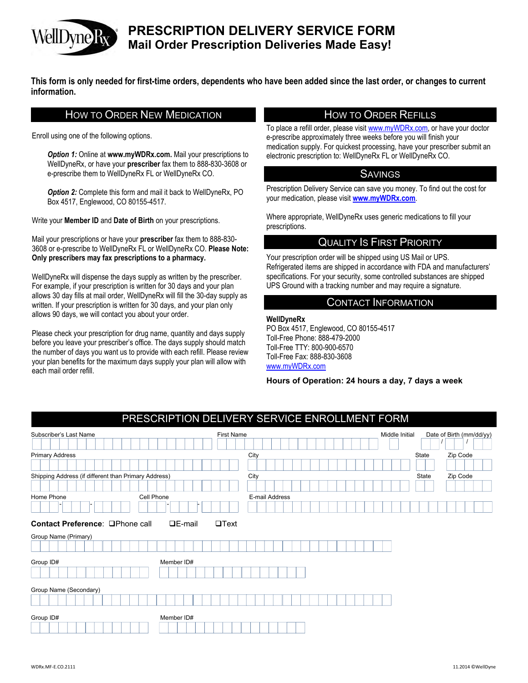

# **PRESCRIPTION DELIVERY SERVICE FORM Mail Order Prescription Deliveries Made Easy!**

**This form is only needed for first-time orders, dependents who have been added since the last order, or changes to current information.**

### HOW TO ORDER NEW MEDICATION HOW TO ORDER REFILLS

Enroll using one of the following options.

*Option 1:* Online at www.myWDRx.com. Mail your prescriptions to WellDyneRx, or have your **prescriber** fax them to 888-830-3608 or e-prescribe them to WellDyneRx FL or WellDyneRx CO.

**Option 2:** Complete this form and mail it back to WellDyneRx, PO Box 4517, Englewood, CO 80155-4517.

Write your **Member ID** and **Date of Birth** on your prescriptions.

Mail your prescriptions or have your **prescriber** fax them to 888-830- 3608 or e-prescribe to WellDyneRx FL or WellDyneRx CO. **Please Note: Only prescribers may fax prescriptions to a pharmacy.** 

WellDyneRx will dispense the days supply as written by the prescriber. For example, if your prescription is written for 30 days and your plan allows 30 day fills at mail order, WellDyneRx will fill the 30-day supply as written. If your prescription is written for 30 days, and your plan only allows 90 days, we will contact you about your order.

Please check your prescription for drug name, quantity and days supply before you leave your prescriber's office. The days supply should match the number of days you want us to provide with each refill. Please review your plan benefits for the maximum days supply your plan will allow with each mail order refill.

To place a refill order, please visit www.myWDRx.com, or have your doctor e-prescribe approximately three weeks before you will finish your medication supply. For quickest processing, have your prescriber submit an electronic prescription to: WellDyneRx FL or WellDyneRx CO.

#### SAVINGS

Prescription Delivery Service can save you money. To find out the cost for your medication, please visit **www.myWDRx.com**.

Where appropriate, WellDyneRx uses generic medications to fill your prescriptions.

### QUALITY IS FIRST PRIORITY

Your prescription order will be shipped using US Mail or UPS. Refrigerated items are shipped in accordance with FDA and manufacturers' specifications. For your security, some controlled substances are shipped UPS Ground with a tracking number and may require a signature.

#### CONTACT INFORMATION

#### **WellDyneRx**

PO Box 4517, Englewood, CO 80155-4517 Toll-Free Phone: 888-479-2000 Toll-Free TTY: 800-900-6570 Toll-Free Fax: 888-830-3608 www.myWDRx.com

**Hours of Operation: 24 hours a day, 7 days a week**

| PRESCRIPTION DELIVERY SERVICE ENROLLMENT FORM        |                                |                |  |                |       |                          |
|------------------------------------------------------|--------------------------------|----------------|--|----------------|-------|--------------------------|
| Subscriber's Last Name                               | <b>First Name</b>              |                |  | Middle Initial |       | Date of Birth (mm/dd/yy) |
| <b>Primary Address</b>                               |                                | City           |  |                | State | Zip Code                 |
| Shipping Address (if different than Primary Address) |                                | City           |  |                | State | Zip Code                 |
| Cell Phone<br>Home Phone                             |                                | E-mail Address |  |                |       |                          |
| Contact Preference: <b>QPhone call</b>               | $\n  DE-mail\n$<br>$\Box$ Text |                |  |                |       |                          |
| Group Name (Primary)                                 |                                |                |  |                |       |                          |
| Group ID#                                            | Member ID#                     |                |  |                |       |                          |
| Group Name (Secondary)                               |                                |                |  |                |       |                          |
| Group ID#                                            | Member ID#                     |                |  |                |       |                          |